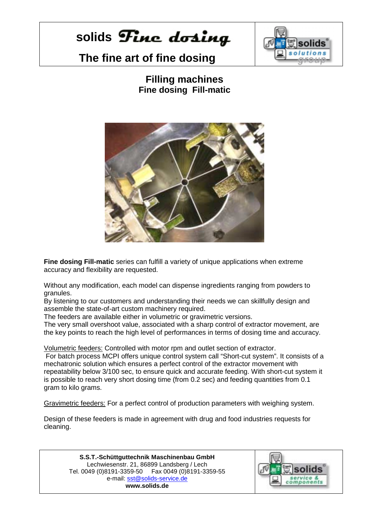## solids **Fine** dosing

## **The fine art of fine dosing**



### **Filling machines Fine dosing Fill-matic**



**Fine dosing Fill-matic** series can fulfill a variety of unique applications when extreme accuracy and flexibility are requested.

Without any modification, each model can dispense ingredients ranging from powders to granules.

By listening to our customers and understanding their needs we can skillfully design and assemble the state-of-art custom machinery required.

The feeders are available either in volumetric or gravimetric versions.

The very small overshoot value, associated with a sharp control of extractor movement, are the key points to reach the high level of performances in terms of dosing time and accuracy.

Volumetric feeders: Controlled with motor rpm and outlet section of extractor.

 For batch process MCPI offers unique control system call "Short-cut system". It consists of a mechatronic solution which ensures a perfect control of the extractor movement with repeatability below 3/100 sec, to ensure quick and accurate feeding. With short-cut system it is possible to reach very short dosing time (from 0.2 sec) and feeding quantities from 0.1 gram to kilo grams.

Gravimetric feeders: For a perfect control of production parameters with weighing system.

Design of these feeders is made in agreement with drug and food industries requests for cleaning.

**S.S.T.-Schüttguttechnik Maschinenbau GmbH** Lechwiesenstr. 21, 86899 Landsberg / Lech Tel. 0049 (0)8191-3359-50 Fax 0049 (0)8191-3359-55 e-mail: sst@solids-service.de **www.solids.de** 

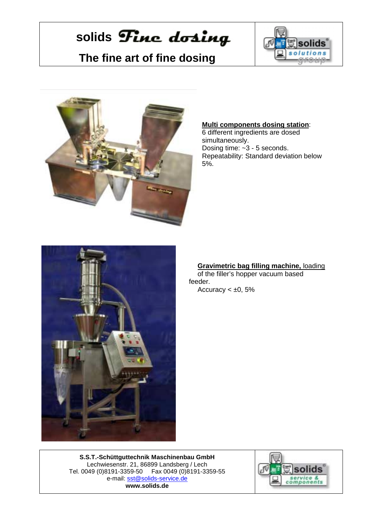# solids Fine dosing

### **The fine art of fine dosing**





#### **Multi components dosing station**:

6 different ingredients are dosed simultaneously. Dosing time: ~3 - 5 seconds. Repeatability: Standard deviation below 5%.



### **Gravimetric bag filling machine,** loading

of the filler's hopper vacuum based feeder. Accuracy  $< \pm 0, 5\%$ 

**S.S.T.-Schüttguttechnik Maschinenbau GmbH** Lechwiesenstr. 21, 86899 Landsberg / Lech Tel. 0049 (0)8191-3359-50 Fax 0049 (0)8191-3359-55 e-mail: sst@solids-service.de **www.solids.de**